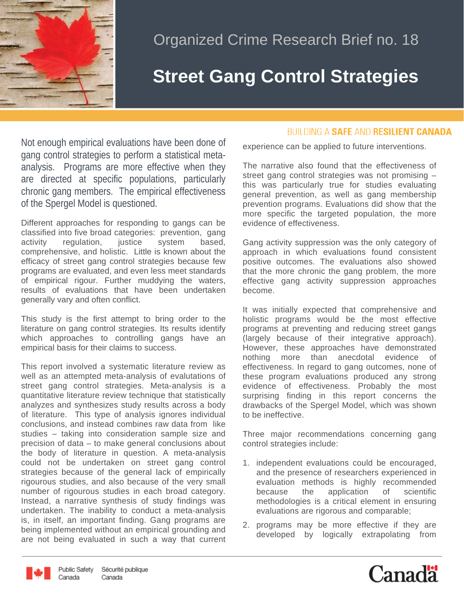

## Organized Crime Research Brief no. 18

## **Street Gang Control Strategies**

Not enough empirical evaluations have been done of gang control strategies to perform a statistical metaanalysis. Programs are more effective when they are directed at specific populations, particularly chronic gang members. The empirical effectiveness of the Spergel Model is questioned.

Different approaches for responding to gangs can be classified into five broad categories: prevention, gang<br>activity regulation, justice system based. activity regulation, justice system based, comprehensive, and holistic. Little is known about the efficacy of street gang control strategies because few programs are evaluated, and even less meet standards of empirical rigour. Further muddying the waters, results of evaluations that have been undertaken generally vary and often conflict.

This study is the first attempt to bring order to the literature on gang control strategies. Its results identify which approaches to controlling gangs have an empirical basis for their claims to success.

This report involved a systematic literature review as well as an attempted meta-analysis of evalutations of street gang control strategies. Meta-analysis is a quantitative literature review technique that statistically analyzes and synthesizes study results across a body of literature. This type of analysis ignores individual conclusions, and instead combines raw data from like studies – taking into consideration sample size and precision of data – to make general conclusions about the body of literature in question. A meta-analysis could not be undertaken on street gang control strategies because of the general lack of empirically rigourous studies, and also because of the very small number of rigourous studies in each broad category. Instead, a narrative synthesis of study findings was undertaken. The inability to conduct a meta-analysis is, in itself, an important finding. Gang programs are being implemented without an empirical grounding and are not being evaluated in such a way that current

## **BUILDING A SAFE AND RESILIENT CANADA**

experience can be applied to future interventions.

The narrative also found that the effectiveness of street gang control strategies was not promising – this was particularly true for studies evaluating general prevention, as well as gang membership prevention programs. Evaluations did show that the more specific the targeted population, the more evidence of effectiveness.

Gang activity suppression was the only category of approach in which evaluations found consistent positive outcomes. The evaluations also showed that the more chronic the gang problem, the more effective gang activity suppression approaches become.

It was initially expected that comprehensive and holistic programs would be the most effective programs at preventing and reducing street gangs (largely because of their integrative approach). However, these approaches have demonstrated nothing more than anecdotal evidence of effectiveness. In regard to gang outcomes, none of these program evaluations produced any strong evidence of effectiveness. Probably the most surprising finding in this report concerns the drawbacks of the Spergel Model, which was shown to be ineffective.

Three major recommendations concerning gang control strategies include:

- 1. independent evaluations could be encouraged, and the presence of researchers experienced in evaluation methods is highly recommended because the application of scientific methodologies is a critical element in ensuring evaluations are rigorous and comparable;
- 2. programs may be more effective if they are developed by logically extrapolating from